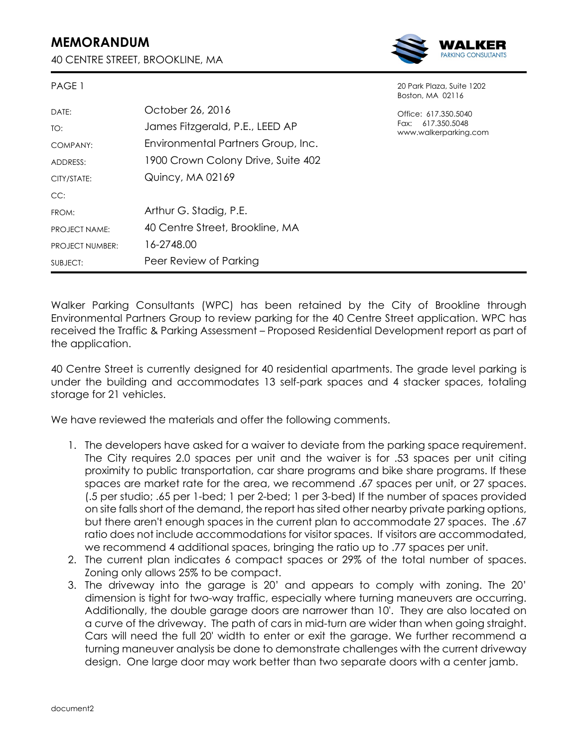## **MEMORANDUM**

PAGE 1

40 CENTRE STREET, BROOKLINE, MA



20 Park Plaza, Suite 1202

| .                      |                                    | 20 : 0 : 1 : 1 0 : 0 : 1 0 : 1 2 0 : 2<br>Boston, MA 02116         |
|------------------------|------------------------------------|--------------------------------------------------------------------|
| DATE:                  | October 26, 2016                   | Office: 617.350.5040<br>Fax: 617.350.5048<br>www.walkerparking.com |
| TO:                    | James Fitzgerald, P.E., LEED AP    |                                                                    |
| COMPANY:               | Environmental Partners Group, Inc. |                                                                    |
| ADDRESS:               | 1900 Crown Colony Drive, Suite 402 |                                                                    |
| CITY/STATE:            | Quincy, MA 02169                   |                                                                    |
| CC:                    |                                    |                                                                    |
| FROM:                  | Arthur G. Stadig, P.E.             |                                                                    |
| PROJECT NAME:          | 40 Centre Street, Brookline, MA    |                                                                    |
| <b>PROJECT NUMBER:</b> | 16-2748.00                         |                                                                    |
| SUBJECT:               | Peer Review of Parking             |                                                                    |

Walker Parking Consultants (WPC) has been retained by the City of Brookline through Environmental Partners Group to review parking for the 40 Centre Street application. WPC has received the Traffic & Parking Assessment – Proposed Residential Development report as part of the application.

40 Centre Street is currently designed for 40 residential apartments. The grade level parking is under the building and accommodates 13 self-park spaces and 4 stacker spaces, totaling storage for 21 vehicles.

We have reviewed the materials and offer the following comments.

- 1. The developers have asked for a waiver to deviate from the parking space requirement. The City requires 2.0 spaces per unit and the waiver is for .53 spaces per unit citing proximity to public transportation, car share programs and bike share programs. If these spaces are market rate for the area, we recommend .67 spaces per unit, or 27 spaces. (.5 per studio; .65 per 1-bed; 1 per 2-bed; 1 per 3-bed) If the number of spaces provided on site falls short of the demand, the report has sited other nearby private parking options, but there aren't enough spaces in the current plan to accommodate 27 spaces. The .67 ratio does not include accommodations for visitor spaces. If visitors are accommodated, we recommend 4 additional spaces, bringing the ratio up to .77 spaces per unit.
- 2. The current plan indicates 6 compact spaces or 29% of the total number of spaces. Zoning only allows 25% to be compact.
- 3. The driveway into the garage is 20' and appears to comply with zoning. The 20' dimension is tight for two-way traffic, especially where turning maneuvers are occurring. Additionally, the double garage doors are narrower than 10'. They are also located on a curve of the driveway. The path of cars in mid-turn are wider than when going straight. Cars will need the full 20' width to enter or exit the garage. We further recommend a turning maneuver analysis be done to demonstrate challenges with the current driveway design. One large door may work better than two separate doors with a center jamb.